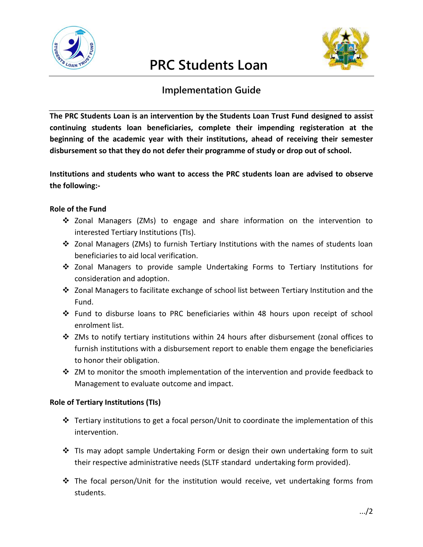

# **PRC Students Loan**



## **Implementation Guide**

**The PRC Students Loan is an intervention by the Students Loan Trust Fund designed to assist continuing students loan beneficiaries, complete their impending registeration at the beginning of the academic year with their institutions, ahead of receiving their semester disbursement so that they do not defer their programme of study or drop out of school.**

**Institutions and students who want to access the PRC students loan are advised to observe the following:-**

### **Role of the Fund**

- $\div$  Zonal Managers (ZMs) to engage and share information on the intervention to interested Tertiary Institutions (TIs).
- Zonal Managers (ZMs) to furnish Tertiary Institutions with the names of students loan beneficiaries to aid local verification.
- Zonal Managers to provide sample Undertaking Forms to Tertiary Institutions for consideration and adoption.
- Zonal Managers to facilitate exchange of school list between Tertiary Institution and the Fund.
- Fund to disburse loans to PRC beneficiaries within 48 hours upon receipt of school enrolment list.
- $\cdot \cdot$  ZMs to notify tertiary institutions within 24 hours after disbursement (zonal offices to furnish institutions with a disbursement report to enable them engage the beneficiaries to honor their obligation.
- $\cdot$  ZM to monitor the smooth implementation of the intervention and provide feedback to Management to evaluate outcome and impact.

### **Role of Tertiary Institutions (TIs)**

- $\cdot \cdot$  Tertiary institutions to get a focal person/Unit to coordinate the implementation of this intervention.
- $\div$  TIs may adopt sample Undertaking Form or design their own undertaking form to suit their respective administrative needs (SLTF standard undertaking form provided).
- $\cdot \cdot$  The focal person/Unit for the institution would receive, vet undertaking forms from students.